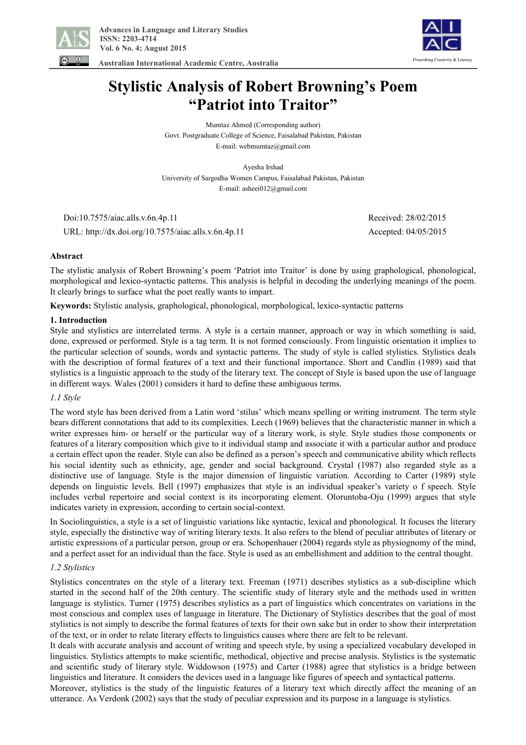



 **Australian International Academic Centre, Australia** 

# **Stylistic Analysis of Robert Browning's Poem "Patriot into Traitor"**

Mumtaz Ahmed (Corresponding author) Govt. Postgraduate College of Science, Faisalabad Pakistan, Pakistan E-mail: webmumtaz@gmail.com

Ayesha Irshad University of Sargodha Women Campus, Faisalabad Pakistan, Pakistan E-mail: asheei012@gmail.com

 Doi:10.7575/aiac.alls.v.6n.4p.11 Received: 28/02/2015 URL: http://dx.doi.org/10.7575/aiac.alls.v.6n.4p.11 Accepted: 04/05/2015

### **Abstract**

The stylistic analysis of Robert Browning's poem 'Patriot into Traitor' is done by using graphological, phonological, morphological and lexico-syntactic patterns. This analysis is helpful in decoding the underlying meanings of the poem. It clearly brings to surface what the poet really wants to impart.

**Keywords:** Stylistic analysis, graphological, phonological, morphological, lexico-syntactic patterns

### **1. Introduction**

Style and stylistics are interrelated terms. A style is a certain manner, approach or way in which something is said, done, expressed or performed. Style is a tag term. It is not formed consciously. From linguistic orientation it implies to the particular selection of sounds, words and syntactic patterns. The study of style is called stylistics. Stylistics deals with the description of formal features of a text and their functional importance. Short and Candlin (1989) said that stylistics is a linguistic approach to the study of the literary text. The concept of Style is based upon the use of language in different ways. Wales (2001) considers it hard to define these ambiguous terms.

### *1.1 Style*

The word style has been derived from a Latin word 'stilus' which means spelling or writing instrument. The term style bears different connotations that add to its complexities. Leech (1969) believes that the characteristic manner in which a writer expresses him- or herself or the particular way of a literary work, is style. Style studies those components or features of a literary composition which give to it individual stamp and associate it with a particular author and produce a certain effect upon the reader. Style can also be defined as a person's speech and communicative ability which reflects his social identity such as ethnicity, age, gender and social background. Crystal (1987) also regarded style as a distinctive use of language. Style is the major dimension of linguistic variation. According to Carter (1989) style depends on linguistic levels. Bell (1997) emphasizes that style is an individual speaker's variety o f speech. Style includes verbal repertoire and social context is its incorporating element. Oloruntoba-Oju (1999) argues that style indicates variety in expression, according to certain social-context.

In Sociolinguistics, a style is a set of linguistic variations like syntactic, lexical and phonological. It focuses the literary style, especially the distinctive way of writing literary texts. It also refers to the blend of peculiar attributes of literary or artistic expressions of a particular person, group or era. Schopenhauer (2004) regards style as physiognomy of the mind, and a perfect asset for an individual than the face. Style is used as an embellishment and addition to the central thought.

### *1.2 Stylistics*

Stylistics concentrates on the style of a literary text. Freeman (1971) describes stylistics as a sub-discipline which started in the second half of the 20th century. The scientific study of literary style and the methods used in written language is stylistics. Turner (1975) describes stylistics as a part of linguistics which concentrates on variations in the most conscious and complex uses of language in literature. The Dictionary of Stylistics describes that the goal of most stylistics is not simply to describe the formal features of texts for their own sake but in order to show their interpretation of the text, or in order to relate literary effects to linguistics causes where there are felt to be relevant.

It deals with accurate analysis and account of writing and speech style, by using a specialized vocabulary developed in linguistics. Stylistics attempts to make scientific, methodical, objective and precise analysis. Stylistics is the systematic and scientific study of literary style. Widdowson (1975) and Carter (1988) agree that stylistics is a bridge between linguistics and literature. It considers the devices used in a language like figures of speech and syntactical patterns.

Moreover, stylistics is the study of the linguistic features of a literary text which directly affect the meaning of an utterance. As Verdonk (2002) says that the study of peculiar expression and its purpose in a language is stylistics.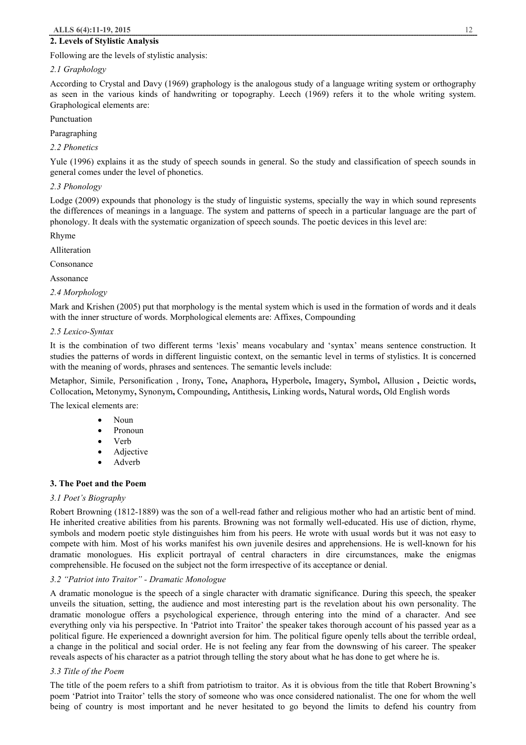# **2. Levels of Stylistic Analysis**

Following are the levels of stylistic analysis:

# *2.1 Graphology*

According to Crystal and Davy (1969) graphology is the analogous study of a language writing system or orthography as seen in the various kinds of handwriting or topography. Leech (1969) refers it to the whole writing system. Graphological elements are:

### Punctuation

# Paragraphing

# *2.2 Phonetics*

Yule (1996) explains it as the study of speech sounds in general. So the study and classification of speech sounds in general comes under the level of phonetics.

### *2.3 Phonology*

Lodge (2009) expounds that phonology is the study of linguistic systems, specially the way in which sound represents the differences of meanings in a language. The system and patterns of speech in a particular language are the part of phonology. It deals with the systematic organization of speech sounds. The poetic devices in this level are:

Rhyme

Alliteration

Consonance

Assonance

### *2.4 Morphology*

Mark and Krishen (2005) put that morphology is the mental system which is used in the formation of words and it deals with the inner structure of words. Morphological elements are: Affixes, Compounding

# *2.5 Lexico-Syntax*

It is the combination of two different terms 'lexis' means vocabulary and 'syntax' means sentence construction. It studies the patterns of words in different linguistic context, on the semantic level in terms of stylistics. It is concerned with the meaning of words, phrases and sentences. The semantic levels include:

Metaphor, Simile, Personification , Irony**,** Tone**,** Anaphora**,** Hyperbole**,** Imagery**,** Symbol**,** Allusion **,** Deictic words**,**  Collocation**,** Metonymy**,** Synonym**,** Compounding**,** Antithesis**,** Linking words**,** Natural words**,** Old English words

The lexical elements are:

- · Noun
- · Pronoun
- · Verb
- **Adjective**
- · Adverb

### **3. The Poet and the Poem**

### *3.1 Poet's Biography*

Robert Browning (1812-1889) was the son of a well-read father and religious mother who had an artistic bent of mind. He inherited creative abilities from his parents. Browning was not formally well-educated. His use of diction, rhyme, symbols and modern poetic style distinguishes him from his peers. He wrote with usual words but it was not easy to compete with him. Most of his works manifest his own juvenile desires and apprehensions. He is well-known for his dramatic monologues. His explicit portrayal of central characters in dire circumstances, make the enigmas comprehensible. He focused on the subject not the form irrespective of its acceptance or denial.

### *3.2 "Patriot into Traitor" - Dramatic Monologue*

A dramatic monologue is the speech of a single character with dramatic significance. During this speech, the speaker unveils the situation, setting, the audience and most interesting part is the revelation about his own personality. The dramatic monologue offers a psychological experience, through entering into the mind of a character. And see everything only via his perspective. In 'Patriot into Traitor' the speaker takes thorough account of his passed year as a political figure. He experienced a downright aversion for him. The political figure openly tells about the terrible ordeal, a change in the political and social order. He is not feeling any fear from the downswing of his career. The speaker reveals aspects of his character as a patriot through telling the story about what he has done to get where he is.

### *3.3 Title of the Poem*

The title of the poem refers to a shift from patriotism to traitor. As it is obvious from the title that Robert Browning's poem 'Patriot into Traitor' tells the story of someone who was once considered nationalist. The one for whom the well being of country is most important and he never hesitated to go beyond the limits to defend his country from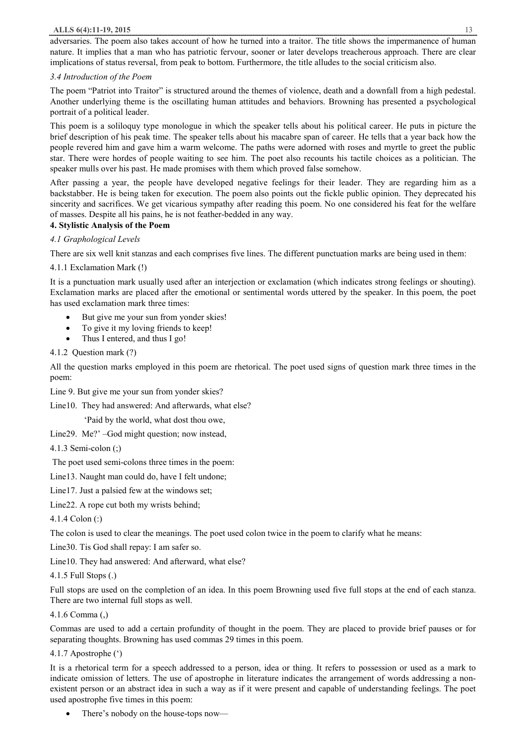adversaries. The poem also takes account of how he turned into a traitor. The title shows the impermanence of human nature. It implies that a man who has patriotic fervour, sooner or later develops treacherous approach. There are clear implications of status reversal, from peak to bottom. Furthermore, the title alludes to the social criticism also.

### *3.4 Introduction of the Poem*

The poem "Patriot into Traitor" is structured around the themes of violence, death and a downfall from a high pedestal. Another underlying theme is the oscillating human attitudes and behaviors. Browning has presented a psychological portrait of a political leader.

This poem is a soliloquy type monologue in which the speaker tells about his political career. He puts in picture the brief description of his peak time. The speaker tells about his macabre span of career. He tells that a year back how the people revered him and gave him a warm welcome. The paths were adorned with roses and myrtle to greet the public star. There were hordes of people waiting to see him. The poet also recounts his tactile choices as a politician. The speaker mulls over his past. He made promises with them which proved false somehow.

After passing a year, the people have developed negative feelings for their leader. They are regarding him as a backstabber. He is being taken for execution. The poem also points out the fickle public opinion. They deprecated his sincerity and sacrifices. We get vicarious sympathy after reading this poem. No one considered his feat for the welfare of masses. Despite all his pains, he is not feather-bedded in any way.

### **4. Stylistic Analysis of the Poem**

# *4.1 Graphological Levels*

There are six well knit stanzas and each comprises five lines. The different punctuation marks are being used in them:

# 4.1.1 Exclamation Mark (!)

It is a punctuation mark usually used after an interjection or exclamation (which indicates strong feelings or shouting). Exclamation marks are placed after the emotional or sentimental words uttered by the speaker. In this poem, the poet has used exclamation mark three times:

- But give me your sun from yonder skies!
- To give it my loving friends to keep!
- Thus I entered, and thus I go!

# 4.1.2 Question mark (?)

All the question marks employed in this poem are rhetorical. The poet used signs of question mark three times in the poem:

Line 9. But give me your sun from yonder skies?

Line10. They had answered: And afterwards, what else?

'Paid by the world, what dost thou owe,

Line29. Me?' –God might question; now instead,

4.1.3 Semi-colon (;)

The poet used semi-colons three times in the poem:

Line13. Naught man could do, have I felt undone;

Line17. Just a palsied few at the windows set;

Line22. A rope cut both my wrists behind;

### 4.1.4 Colon (:)

The colon is used to clear the meanings. The poet used colon twice in the poem to clarify what he means:

Line30. Tis God shall repay: I am safer so.

Line10. They had answered: And afterward, what else?

4.1.5 Full Stops (.)

Full stops are used on the completion of an idea. In this poem Browning used five full stops at the end of each stanza. There are two internal full stops as well.

### 4.1.6 Comma (,)

Commas are used to add a certain profundity of thought in the poem. They are placed to provide brief pauses or for separating thoughts. Browning has used commas 29 times in this poem.

### 4.1.7 Apostrophe (')

It is a rhetorical term for a speech addressed to a person, idea or thing. It refers to possession or used as a mark to indicate omission of letters. The use of apostrophe in literature indicates the arrangement of words addressing a nonexistent person or an abstract idea in such a way as if it were present and capable of understanding feelings. The poet used apostrophe five times in this poem:

There's nobody on the house-tops now-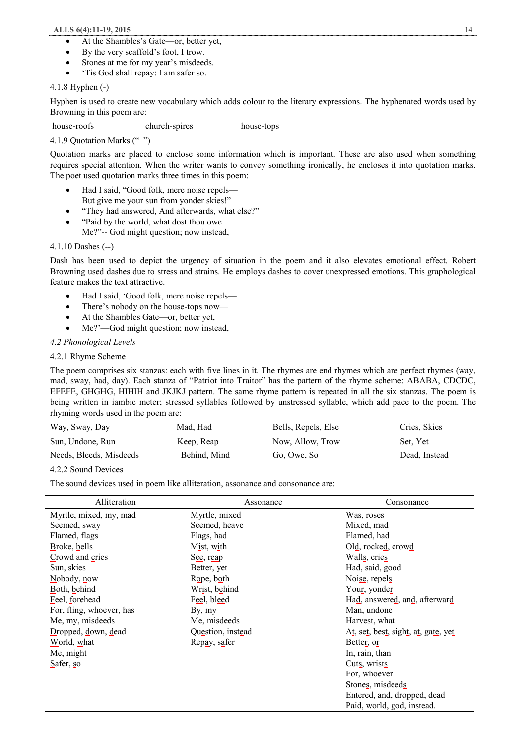### **ALLS 6(4):11-19, 2015** 14

- At the Shambles's Gate—or, better yet,
- By the very scaffold's foot, I trow.
- · Stones at me for my year's misdeeds.
- · 'Tis God shall repay: I am safer so.

### 4.1.8 Hyphen (-)

Hyphen is used to create new vocabulary which adds colour to the literary expressions. The hyphenated words used by Browning in this poem are:

house-roofs church-spires house-tops

4.1.9 Quotation Marks ("")

Quotation marks are placed to enclose some information which is important. These are also used when something requires special attention. When the writer wants to convey something ironically, he encloses it into quotation marks. The poet used quotation marks three times in this poem:

- Had I said, "Good folk, mere noise repels— But give me your sun from yonder skies!"
- · "They had answered, And afterwards, what else?"
- · "Paid by the world, what dost thou owe Me?"-- God might question; now instead,
- 4.1.10 Dashes (--)

Dash has been used to depict the urgency of situation in the poem and it also elevates emotional effect. Robert Browning used dashes due to stress and strains. He employs dashes to cover unexpressed emotions. This graphological feature makes the text attractive.

- Had I said, 'Good folk, mere noise repels—
- There's nobody on the house-tops now-
- At the Shambles Gate—or, better yet,
- Me?'—God might question; now instead,

### *4.2 Phonological Levels*

### 4.2.1 Rhyme Scheme

The poem comprises six stanzas: each with five lines in it. The rhymes are end rhymes which are perfect rhymes (way, mad, sway, had, day). Each stanza of "Patriot into Traitor" has the pattern of the rhyme scheme: ABABA, CDCDC, EFEFE, GHGHG, HIHIH and JKJKJ pattern. The same rhyme pattern is repeated in all the six stanzas. The poem is being written in iambic meter; stressed syllables followed by unstressed syllable, which add pace to the poem. The rhyming words used in the poem are:

| Way, Sway, Day          | Mad, Had     | Bells, Repels, Else | Cries, Skies  |
|-------------------------|--------------|---------------------|---------------|
| Sun, Undone, Run        | Keep, Reap   | Now, Allow, Trow    | Set. Yet      |
| Needs, Bleeds, Misdeeds | Behind, Mind | Go, Owe, So         | Dead, Instead |

4.2.2 Sound Devices

The sound devices used in poem like alliteration, assonance and consonance are:

| Alliteration             | Assonance         | Consonance                          |
|--------------------------|-------------------|-------------------------------------|
| Myrtle, mixed, my, mad   | Myrtle, mixed     | Was, roses                          |
| Seemed, sway             | Seemed, heave     | Mixed, mad                          |
| Flamed, flags            | Flags, had        | Flamed, had                         |
| Broke, bells             | Mist, with        | Old, rocked, crowd                  |
| Crowd and cries          | See, reap         | Walls, cries                        |
| Sun, skies               | Better, yet       | Had, said, good                     |
| $N$ obody, now           | Rope, both        | Noise, repels                       |
| Both, behind             | Wrist, behind     | Your, yonder                        |
| Feel, forehead           | Feel, bleed       | Had, answered, and, afterward       |
| For, fling, whoever, has | By, my            | Man, undone                         |
| $Me$ , my, misdeeds      | Me, misdeeds      | Harvest, what                       |
| Dropped, down, dead      | Question, instead | At, set, best, sight, at, gate, yet |
| World, what              | Repay, safer      | Better, or                          |
| $M$ e, might             |                   | In, rain, than                      |
| Safer, so                |                   | Cuts, wrists                        |
|                          |                   | For, whoever                        |
|                          |                   | Stones, misdeeds                    |
|                          |                   | Entered, and, dropped, dead         |
|                          |                   | Paid, world, god, instead.          |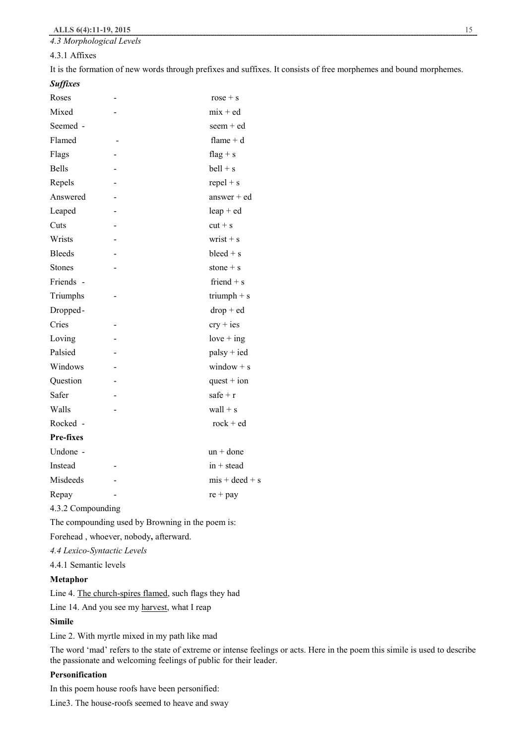# 4.3.1 Affixes

It is the formation of new words through prefixes and suffixes. It consists of free morphemes and bound morphemes.

# *Suffixes*

| Roses         | $rose + s$                |
|---------------|---------------------------|
| Mixed         | $mix + ed$                |
| Seemed -      | seem + ed                 |
| Flamed        | flame $+ d$               |
| Flags         | flag + s                  |
| <b>Bells</b>  | $bell + s$                |
| Repels        | $repel + s$               |
| Answered      | $answer + ed$             |
| Leaped        | $leap + ed$               |
| Cuts          | $cut + s$                 |
| Wrists        | wrist $+$ s               |
| <b>Bleeds</b> | $bleed + s$               |
| <b>Stones</b> | stone $+$ s               |
| Friends -     | friend $+$ s              |
| Triumphs      | triumph $+$ s             |
| Dropped-      | $drop + ed$               |
| Cries         | $\text{cry} + \text{ies}$ |
| Loving        | $love + ing$              |
| Palsied       | $palsy + ied$             |
| Windows       | window $+$ s              |
| Question      | quest $+$ ion             |
| Safer         | safe + $r$                |
| Walls         | wall $+$ s                |
| Rocked -      | $rock + ed$               |
| Pre-fixes     |                           |
| Undone -      | $un + done$               |
| Instead       | $in + stead$              |
| Misdeeds      | $mis + deed + s$          |
| Repay         | $re + pay$                |

### 4.3.2 Compounding

The compounding used by Browning in the poem is:

Forehead , whoever, nobody**,** afterward.

*4.4 Lexico-Syntactic Levels* 

4.4.1 Semantic levels

### **Metaphor**

Line 4. The church-spires flamed, such flags they had

Line 14. And you see my harvest, what I reap

### **Simile**

Line 2. With myrtle mixed in my path like mad

The word 'mad' refers to the state of extreme or intense feelings or acts. Here in the poem this simile is used to describe the passionate and welcoming feelings of public for their leader.

# **Personification**

In this poem house roofs have been personified:

Line3. The house-roofs seemed to heave and sway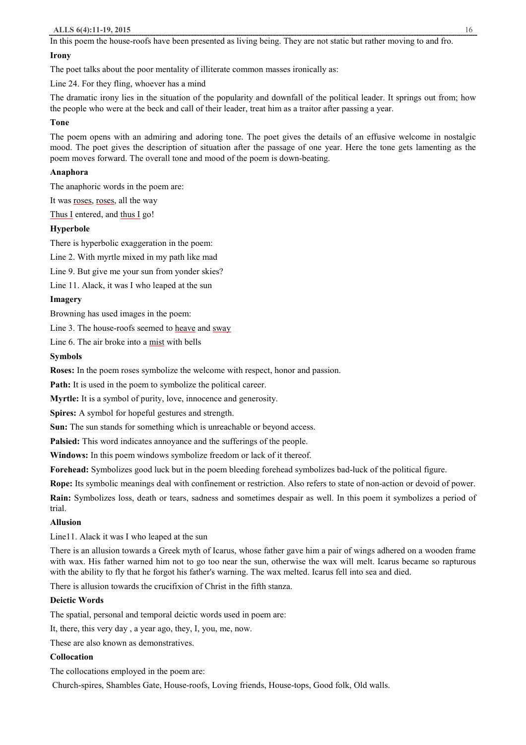In this poem the house-roofs have been presented as living being. They are not static but rather moving to and fro.

### **Irony**

The poet talks about the poor mentality of illiterate common masses ironically as:

Line 24. For they fling, whoever has a mind

The dramatic irony lies in the situation of the popularity and downfall of the political leader. It springs out from; how the people who were at the beck and call of their leader, treat him as a traitor after passing a year.

# **Tone**

The poem opens with an admiring and adoring tone. The poet gives the details of an effusive welcome in nostalgic mood. The poet gives the description of situation after the passage of one year. Here the tone gets lamenting as the poem moves forward. The overall tone and mood of the poem is down-beating.

### **Anaphora**

The anaphoric words in the poem are:

It was roses, roses, all the way

Thus I entered, and thus I go!

### **Hyperbole**

There is hyperbolic exaggeration in the poem:

Line 2. With myrtle mixed in my path like mad

Line 9. But give me your sun from yonder skies?

Line 11. Alack, it was I who leaped at the sun

### **Imagery**

Browning has used images in the poem:

Line 3. The house-roofs seemed to heave and sway

Line 6. The air broke into a mist with bells

### **Symbols**

**Roses:** In the poem roses symbolize the welcome with respect, honor and passion.

**Path:** It is used in the poem to symbolize the political career.

**Myrtle:** It is a symbol of purity, love, innocence and generosity.

**Spires:** A symbol for hopeful gestures and strength.

**Sun:** The sun stands for something which is unreachable or beyond access.

**Palsied:** This word indicates annoyance and the sufferings of the people.

**Windows:** In this poem windows symbolize freedom or lack of it thereof.

**Forehead:** Symbolizes good luck but in the poem bleeding forehead symbolizes bad-luck of the political figure.

**Rope:** Its symbolic meanings deal with confinement or restriction. Also refers to state of non-action or devoid of power.

**Rain:** Symbolizes loss, death or tears, sadness and sometimes despair as well. In this poem it symbolizes a period of trial.

# **Allusion**

Line11. Alack it was I who leaped at the sun

There is an allusion towards a Greek myth of Icarus, whose father gave him a pair of wings adhered on a wooden frame with wax. His father warned him not to go too near the sun, otherwise the wax will melt. Icarus became so rapturous with the ability to fly that he forgot his father's warning. The wax melted. Icarus fell into sea and died.

There is allusion towards the crucifixion of Christ in the fifth stanza.

### **Deictic Words**

The spatial, personal and temporal deictic words used in poem are:

It, there, this very day , a year ago, they, I, you, me, now.

These are also known as demonstratives.

### **Collocation**

The collocations employed in the poem are:

Church-spires, Shambles Gate, House-roofs, Loving friends, House-tops, Good folk, Old walls.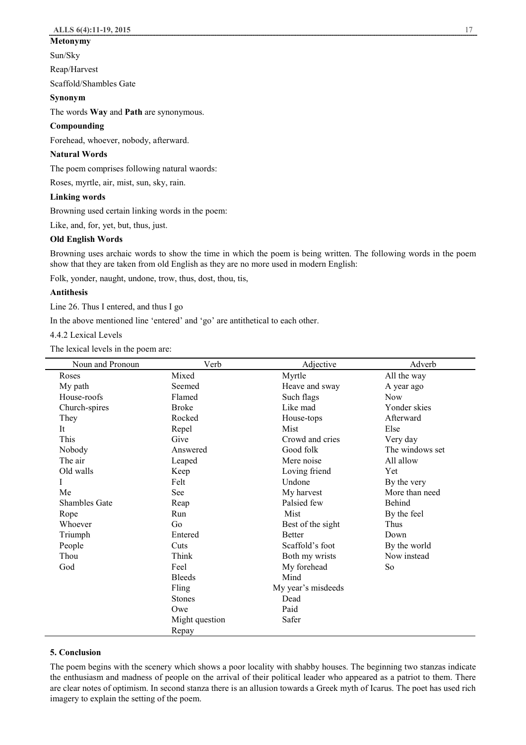### **Metonymy**

Sun/Sky

Reap/Harvest

Scaffold/Shambles Gate

#### **Synonym**

The words **Way** and **Path** are synonymous.

### **Compounding**

Forehead, whoever, nobody, afterward.

### **Natural Words**

The poem comprises following natural waords:

Roses, myrtle, air, mist, sun, sky, rain.

### **Linking words**

Browning used certain linking words in the poem:

Like, and, for, yet, but, thus, just.

### **Old English Words**

Browning uses archaic words to show the time in which the poem is being written. The following words in the poem show that they are taken from old English as they are no more used in modern English:

Folk, yonder, naught, undone, trow, thus, dost, thou, tis,

### **Antithesis**

Line 26. Thus I entered, and thus I go

In the above mentioned line 'entered' and 'go' are antithetical to each other.

4.4.2 Lexical Levels

The lexical levels in the poem are:

| Noun and Pronoun     | Verb           | Adjective          | Adverb          |
|----------------------|----------------|--------------------|-----------------|
| Roses                | Mixed          | Myrtle             | All the way     |
| My path              | Seemed         | Heave and sway     | A year ago      |
| House-roofs          | Flamed         | Such flags         | <b>Now</b>      |
| Church-spires        | <b>Broke</b>   | Like mad           | Yonder skies    |
| They                 | Rocked         | House-tops         | Afterward       |
| It                   | Repel          | <b>Mist</b>        | Else            |
| This                 | Give           | Crowd and cries    | Very day        |
| Nobody               | Answered       | Good folk          | The windows set |
| The air              | Leaped         | Mere noise         | All allow       |
| Old walls            | Keep           | Loving friend      | Yet             |
| I                    | Felt           | Undone             | By the very     |
| Me                   | See            | My harvest         | More than need  |
| <b>Shambles Gate</b> | Reap           | Palsied few        | <b>Behind</b>   |
| Rope                 | Run            | Mist               | By the feel     |
| Whoever              | Go             | Best of the sight  | Thus            |
| Triumph              | Entered        | <b>Better</b>      | Down            |
| People               | Cuts           | Scaffold's foot    | By the world    |
| Thou                 | Think          | Both my wrists     | Now instead     |
| God                  | Feel           | My forehead        | So              |
|                      | <b>Bleeds</b>  | Mind               |                 |
|                      | Fling          | My year's misdeeds |                 |
|                      | <b>Stones</b>  | Dead               |                 |
|                      | Owe            | Paid               |                 |
|                      | Might question | Safer              |                 |
|                      | Repay          |                    |                 |

# **5. Conclusion**

The poem begins with the scenery which shows a poor locality with shabby houses. The beginning two stanzas indicate the enthusiasm and madness of people on the arrival of their political leader who appeared as a patriot to them. There are clear notes of optimism. In second stanza there is an allusion towards a Greek myth of Icarus. The poet has used rich imagery to explain the setting of the poem.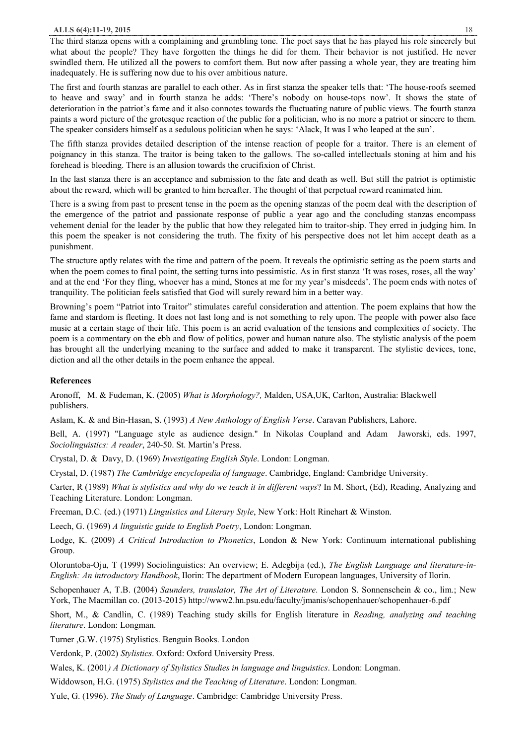The third stanza opens with a complaining and grumbling tone. The poet says that he has played his role sincerely but what about the people? They have forgotten the things he did for them. Their behavior is not justified. He never swindled them. He utilized all the powers to comfort them. But now after passing a whole year, they are treating him inadequately. He is suffering now due to his over ambitious nature.

The first and fourth stanzas are parallel to each other. As in first stanza the speaker tells that: 'The house-roofs seemed to heave and sway' and in fourth stanza he adds: 'There's nobody on house-tops now'. It shows the state of deterioration in the patriot's fame and it also connotes towards the fluctuating nature of public views. The fourth stanza paints a word picture of the grotesque reaction of the public for a politician, who is no more a patriot or sincere to them. The speaker considers himself as a sedulous politician when he says: 'Alack, It was I who leaped at the sun'.

The fifth stanza provides detailed description of the intense reaction of people for a traitor. There is an element of poignancy in this stanza. The traitor is being taken to the gallows. The so-called intellectuals stoning at him and his forehead is bleeding. There is an allusion towards the crucifixion of Christ.

In the last stanza there is an acceptance and submission to the fate and death as well. But still the patriot is optimistic about the reward, which will be granted to him hereafter. The thought of that perpetual reward reanimated him.

There is a swing from past to present tense in the poem as the opening stanzas of the poem deal with the description of the emergence of the patriot and passionate response of public a year ago and the concluding stanzas encompass vehement denial for the leader by the public that how they relegated him to traitor-ship. They erred in judging him. In this poem the speaker is not considering the truth. The fixity of his perspective does not let him accept death as a punishment.

The structure aptly relates with the time and pattern of the poem. It reveals the optimistic setting as the poem starts and when the poem comes to final point, the setting turns into pessimistic. As in first stanza 'It was roses, roses, all the way' and at the end 'For they fling, whoever has a mind, Stones at me for my year's misdeeds'. The poem ends with notes of tranquility. The politician feels satisfied that God will surely reward him in a better way.

Browning's poem "Patriot into Traitor" stimulates careful consideration and attention. The poem explains that how the fame and stardom is fleeting. It does not last long and is not something to rely upon. The people with power also face music at a certain stage of their life. This poem is an acrid evaluation of the tensions and complexities of society. The poem is a commentary on the ebb and flow of politics, power and human nature also. The stylistic analysis of the poem has brought all the underlying meaning to the surface and added to make it transparent. The stylistic devices, tone, diction and all the other details in the poem enhance the appeal.

### **References**

Aronoff, M. & Fudeman, K. (2005) *What is Morphology?,* Malden, USA,UK, Carlton, Australia: Blackwell publishers.

Aslam, K. & and Bin-Hasan, S. (1993) *A New Anthology of English Verse*. Caravan Publishers, Lahore.

Bell, A. (1997) "Language style as audience design." In Nikolas Coupland and Adam Jaworski, eds. 1997, *Sociolinguistics: A reader*, 240-50. St. Martin's Press.

Crystal, D. & Davy, D. (1969) *Investigating English Style*. London: Longman.

Crystal, D. (1987) *The Cambridge encyclopedia of language*. Cambridge, England: Cambridge University.

Carter, R (1989) *What is stylistics and why do we teach it in different ways*? In M. Short, (Ed), Reading, Analyzing and Teaching Literature. London: Longman.

Freeman, D.C. (ed.) (1971) *Linguistics and Literary Style*, New York: Holt Rinehart & Winston.

Leech, G. (1969) *A linguistic guide to English Poetry*, London: Longman.

Lodge, K. (2009) *A Critical Introduction to Phonetics*, London & New York: Continuum international publishing Group.

Oloruntoba-Oju, T (1999) Sociolinguistics: An overview; E. Adegbija (ed.), *The English Language and literature-in-English: An introductory Handbook*, Ilorin: The department of Modern European languages, University of Ilorin.

Schopenhauer A, T.B. (2004) *Saunders, translator, The Art of Literature*. London S. Sonnenschein & co., lim.; New York, The Macmillan co. (2013-2015) http://www2.hn.psu.edu/faculty/jmanis/schopenhauer/schopenhauer-6.pdf

Short, M., & Candlin, C. (1989) Teaching study skills for English literature in *Reading, analyzing and teaching literature*. London: Longman.

Turner ,G.W. (1975) Stylistics. Benguin Books. London

Verdonk, P. (2002) *Stylistics*. Oxford: Oxford University Press.

Wales, K. (2001*) A Dictionary of Stylistics Studies in language and linguistics*. London: Longman.

Widdowson, H.G. (1975) *Stylistics and the Teaching of Literature*. London: Longman.

Yule, G. (1996). *The Study of Language*. Cambridge: Cambridge University Press.